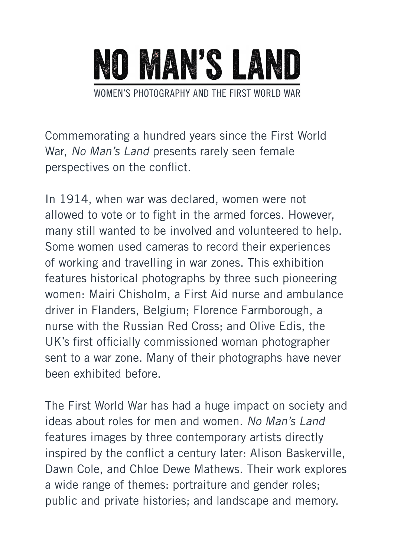

Commemorating a hundred years since the First World War, No Man's Land presents rarely seen female perspectives on the conflict.

In 1914, when war was declared, women were not allowed to vote or to fight in the armed forces. However, many still wanted to be involved and volunteered to help. Some women used cameras to record their experiences of working and travelling in war zones. This exhibition features historical photographs by three such pioneering women: Mairi Chisholm, a First Aid nurse and ambulance driver in Flanders, Belgium; Florence Farmborough, a nurse with the Russian Red Cross; and Olive Edis, the UK's first officially commissioned woman photographer sent to a war zone. Many of their photographs have never been exhibited before.

The First World War has had a huge impact on society and ideas about roles for men and women. No Man's Land features images by three contemporary artists directly inspired by the conflict a century later: Alison Baskerville, Dawn Cole, and Chloe Dewe Mathews. Their work explores a wide range of themes: portraiture and gender roles; public and private histories; and landscape and memory.